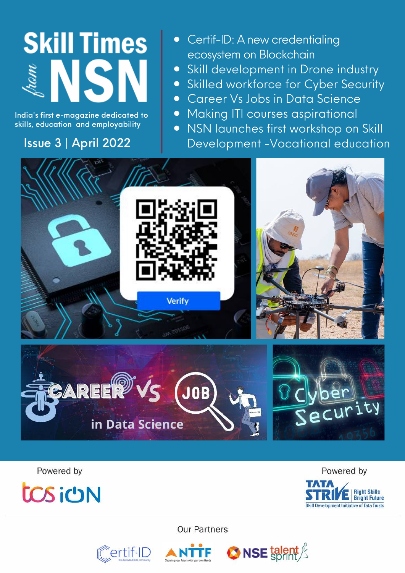# **Skill Times ISI**

India's first e-magazine dedicated to skills, education and employability

### Issue 3 | April 2022

- Certif-ID: A new credentialing ecosystem on Blockchain
- Skill development in Drone industry
- **•** Skilled workforce for Cyber Security
- Career Vs Jobs in Data Science
- Making ITI courses aspirational
- NSN launches first workshop on Skill Development -Vocational education





Powered by



Powered by



**Our Partners** 

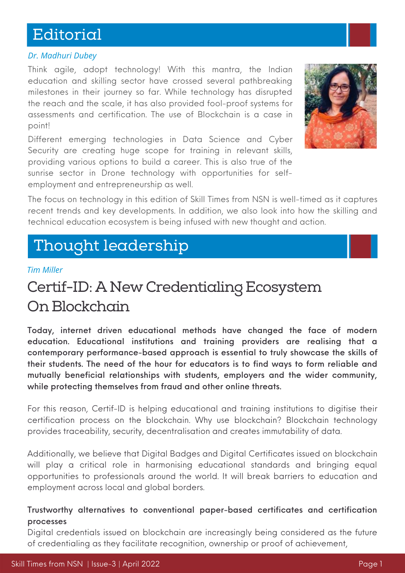# Editorial

#### *Dr. Madhuri Dubey*

Think agile, adopt technology! With this mantra, the Indian education and skilling sector have crossed several pathbreaking milestones in their journey so far. While technology has disrupted the reach and the scale, it has also provided fool-proof systems for assessments and certification. The use of Blockchain is a case in point!

Different emerging technologies in Data Science and Cyber Security are creating huge scope for training in relevant skills, providing various options to build a career. This is also true of the sunrise sector in Drone technology with opportunities for selfemployment and entrepreneurship as well.



The focus on technology in this edition of Skill Times from NSN is well-timed as it captures recent trends and key developments. In addition, we also look into how the skilling and technical education ecosystem is being infused with new thought and action.

# Thought leadership

#### *Tim Miller*

# Certif-ID: A New Credentialing Ecosystem On Blockchain

Today, internet driven educational methods have changed the face of modern education. Educational institutions and training providers are realising that a contemporary performance-based approach is essential to truly showcase the skills of their students. The need of the hour for educators is to find ways to form reliable and mutually beneficial relationships with students, employers and the wider community, while protecting themselves from fraud and other online threats.

For this reason, Certif-ID is helping educational and training institutions to digitise their certification process on the blockchain. Why use blockchain? Blockchain technology provides traceability, security, decentralisation and creates immutability of data.

Additionally, we believe that Digital Badges and Digital Certificates issued on blockchain will play a critical role in harmonising educational standards and bringing equal opportunities to professionals around the world. It will break barriers to education and employment across local and global borders.

#### Trustworthy alternatives to conventional paper-based certificates and certification processes

Digital credentials issued on blockchain are increasingly being considered as the future of credentialing as they facilitate recognition, ownership or proof of achievement,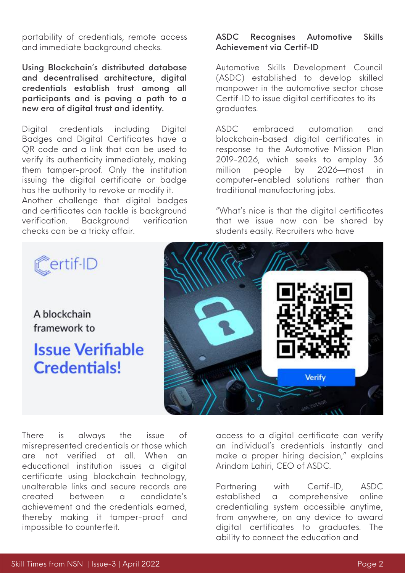portability of credentials, remote access and immediate background checks.

Using Blockchain's distributed database and decentralised architecture, digital credentials establish trust among all participants and is paving a path to a new era of digital trust and identity.

Digital credentials including Digital Badges and Digital [Certificates](https://bit.ly/3MA8lHd) have a QR code and a link that can be used to verify its authenticity immediately, making them tamper-proof. Only the institution issuing the digital certificate or badge has the authority to revoke or modify it. Another challenge that digital badges and certificates can tackle is background verification. Background verification checks can be a tricky affair.

#### ASDC Recognises Automotive Skills Achievement via Certif-ID

Automotive Skills Development Council (ASDC) established to develop skilled manpower in the automotive sector chose Certif-ID to issue digital certificates to its graduates.

ASDC embraced automation and blockchain-based digital certificates in response to the Automotive Mission Plan 2019-2026, which seeks to employ 36 million people by 2026—most in computer-enabled solutions rather than traditional manufacturing jobs.

"What's nice is that the digital certificates that we issue now can be shared by students easily. Recruiters who have



There is always the issue of misrepresented credentials or those which are not verified at all. When an educational institution issues a digital certificate using blockchain technology, unalterable links and secure records are created between a candidate's achievement and the credentials earned, thereby making it tamper-proof and impossible to counterfeit.

access to a digital certificate can verify an individual's credentials instantly and make a proper hiring decision," explains Arindam Lahiri, CEO of ASDC.

Partnering with Certif-ID, ASDC established a comprehensive online credentialing system accessible anytime, from anywhere, on any device to award digital certificates to graduates. The ability to connect the education and



Certif-ID

A blockchain

framework to

**Issue Verifiable** 

**Credentials!**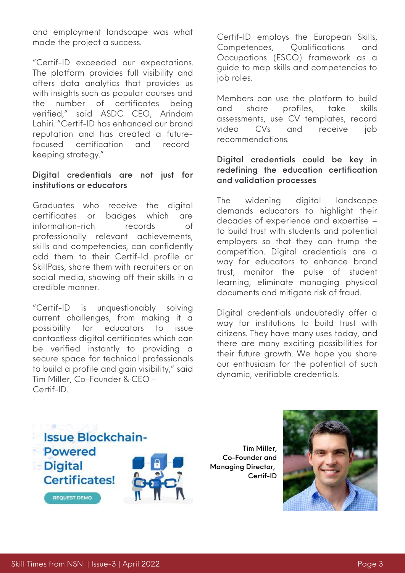and employment landscape was what made the project a success.

"Certif-ID exceeded our expectations. The platform provides full visibility and offers data analytics that provides us with insights such as popular courses and the number of certificates being verified," said ASDC CEO, Arindam Lahiri. "Certif-ID has enhanced our brand reputation and has created a futurefocused certification and recordkeeping strategy."

#### Digital credentials are not just for institutions or educators

Graduates who receive the digital certificates or badges which are [information-rich](https://bit.ly/3MDlrTW) records of professionally relevant achievements, skills and competencies, can confidently add them to their Certif-Id profile or SkillPass, share them with recruiters or on social media, showing off their skills in a credible manner.

"Certif-ID is unquestionably solving current challenges, from making it a possibility for educators to issue contactless digital certificates which can be verified instantly to providing a secure space for technical professionals to build a profile and gain visibility," said Tim Miller, Co-Founder & CEO – Certif-ID.

Certif-ID employs the European Skills, Competences, Qualifications and Occupations (ESCO) framework as a guide to map skills and competencies to job roles.

Members can use the platform to build and share profiles, take skills assessments, use CV templates, record video CVs and receive job recommendations.

#### Digital credentials could be key in redefining the education certification and validation processes

The widening digital landscape demands educators to highlight their decades of experience and expertise – to build trust with students and potential employers so that they can trump the competition. Digital credentials are a way for educators to enhance brand trust, monitor the pulse of student learning, eliminate managing physical documents and mitigate risk of fraud.

Digital credentials undoubtedly offer a way for institutions to build trust with citizens. They have many uses today, and there are many exciting possibilities for their future growth. We hope you share our enthusiasm for the potential of such dynamic, verifiable credentials.



Tim Miller, Co-Founder and Managing Director, Certif-ID

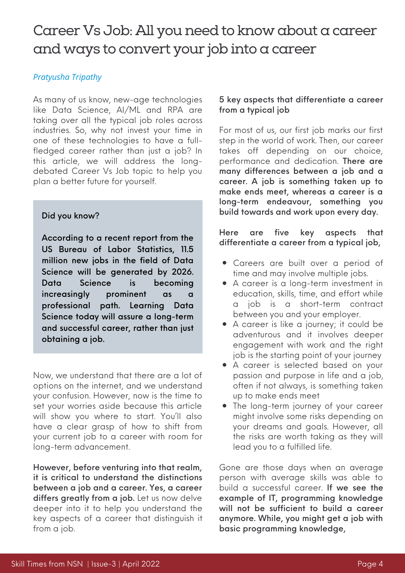### Career Vs Job: All you need to know about a career and ways to convert your job into a career

#### *Pratyusha Tripathy*

As many of us know, new-age technologies like Data Science, AI/ML and RPA are taking over all the typical job roles across industries. So, why not invest your time in one of these technologies to have a fullfledged career rather than just a job? In this article, we will address the longdebated Career Vs Job topic to help you plan a better future for yourself.

#### Did you know?

According to a recent report from the US Bureau of Labor Statistics, 11.5 million new jobs in the field of Data Science will be generated by 2026. Data Science is becoming increasingly prominent as a professional path. Learning Data Science today will assure a long-term and successful career, rather than just obtaining a job.

Now, we understand that there are a lot of options on the internet, and we understand your confusion. However, now is the time to set your worries aside because this article will show you where to start. You'll also have a clear grasp of how to shift from your current job to a career with room for long-term advancement.

However, before venturing into that realm, it is critical to understand the distinctions between a job and a career. Yes, a career differs greatly from a job. Let us now delve deeper into it to help you understand the key aspects of a career that distinguish it from a job.

#### 5 key aspects that differentiate a career from a typical job

For most of us, our first job marks our first step in the world of work. Then, our career takes off depending on our choice, performance and dedication. There are many differences between a job and a career. A job is something taken up to make ends meet, whereas a career is a long-term endeavour, something you build towards and work upon every day.

Here are five key aspects that differentiate a career from a typical job,

- Careers are built over a period of time and may involve multiple jobs.
- A career is a long-term investment in education, skills, time, and effort while job is a short-term contract between you and your employer.
- A career is like a journey; it could be adventurous and it involves deeper engagement with work and the right job is the starting point of your journey
- A career is selected based on your passion and purpose in life and a job, often if not always, is something taken up to make ends meet
- The long-term journey of your career might involve some risks depending on your dreams and goals. However, all the risks are worth taking as they will lead you to a fulfilled life.

Gone are those days when an average person with average skills was able to build a successful career. If we see the example of IT, programming knowledge will not be sufficient to build a career anymore. While, you might get a job with basic programming knowledge,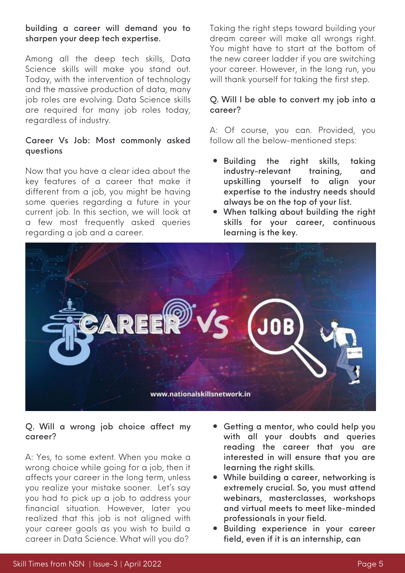#### building a career will demand you to sharpen your deep tech expertise.

Among all the deep tech skills, Data Science skills will make you stand out. Today, with the intervention of technology and the massive production of data, many job roles are evolving. Data Science skills are required for many job roles today, regardless of industry.

#### Career Vs Job: Most commonly asked questions

Now that you have a clear idea about the key features of a career that make it different from a job, you might be having some queries regarding a future in your current job. In this section, we will look at a few most frequently asked queries regarding a job and a career.

Taking the right steps toward building your dream career will make all wrongs right. You might have to start at the bottom of the new career ladder if you are switching your career. However, in the long run, you will thank yourself for taking the first step.

#### Q. Will I be able to convert my job into a career?

A: Of course, you can. Provided, you follow all the below-mentioned steps:

- Building the right skills, taking industry-relevant training, and upskilling yourself to align your expertise to the industry needs should always be on the top of your list.
- When talking about building the right skills for your career, continuous learning is the key.



#### Q. Will a wrong job choice affect my career?

A: Yes, to some extent. When you make a wrong choice while going for a job, then it affects your career in the long term, unless you realize your mistake sooner. Let's say you had to pick up a job to address your financial situation. However, later you realized that this job is not aligned with your career goals as you wish to build a career in Data Science. What will you do?

- Getting a mentor, who could help you with all your doubts and queries reading the career that you are interested in will ensure that you are learning the right skills.
- While building a career, networking is extremely crucial. So, you must attend webinars, masterclasses, workshops and virtual meets to meet like-minded professionals in your field.
- Building experience in your career field, even if it is an internship, can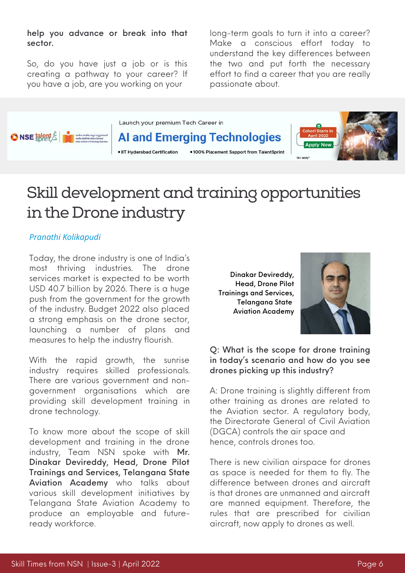help you advance or break into that sector.

So, do you have just a job or is this creating a pathway to your career? If you have a job, are you working on your

long-term goals to turn it into a career? Make a conscious effort today to understand the key differences between the two and put forth the necessary effort to find a career that you are really passionate about.



# Skill development and training opportunities in the Drone industry

#### *Pranathi Kolikapudi*

Today, the drone industry is one of India's most thriving industries. The drone services market is expected to be worth USD 40.7 billion by 2026. There is a huge push from the government for the growth of the industry. Budget 2022 also placed a strong emphasis on the drone sector, launching a number of plans and measures to help the industry flourish.

With the rapid growth, the sunrise industry requires skilled professionals. There are various government and nongovernment organisations which are providing skill development training in drone technology.

To know more about the scope of skill development and training in the drone industry, Team NSN spoke with Mr. Dinakar Devireddy, Head, Drone Pilot Trainings and Services, [Telangana](http://tsaahyd.in/) State Aviation Academy who talks about various skill development initiatives by Telangana State Aviation Academy to produce an employable and futureready workforce.

Dinakar Devireddy, Head, Drone Pilot Trainings and Services[,](http://tsaahyd.in/) [Telangana](http://tsaahyd.in/) State Aviation [Academy](http://tsaahyd.in/)



#### Q: What is the scope for drone training in today's scenario and how do you see drones picking up this industry?

A: Drone training is slightly different from other training as drones are related to the Aviation sector. A regulatory body, the [Directorate](https://www.dgca.gov.in/digigov-portal/) General of Civil Aviation (DGCA) controls the air space and hence, controls drones too.

There is new civilian airspace for drones as space is needed for them to fly. The difference between drones and aircraft is that drones are unmanned and aircraft are manned equipment. Therefore, the rules that are prescribed for civilian aircraft, now apply to drones as well.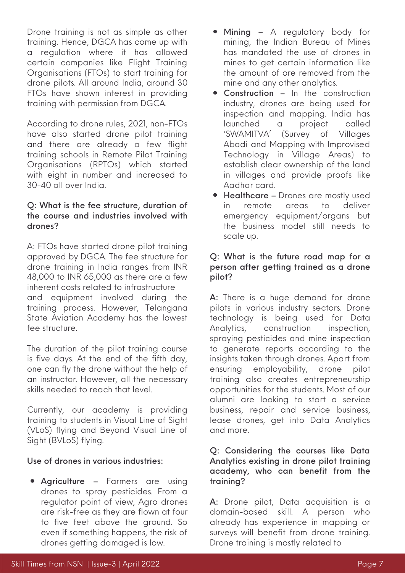Drone training is not as simple as other training. Hence, DGCA has come up with a regulation where it has allowed certain companies like Flight Training Organisations (FTOs) to start training for drone pilots. All around India, around 30 FTOs have shown interest in providing training with permission from DGCA.

According to drone rules, 2021, non-FTOs have also started drone pilot training and there are already a few flight training schools in Remote Pilot Training Organisations (RPTOs) which started with eight in number and increased to 30-40 all over India.

#### Q: What is the fee structure, duration of the course and industries involved with drones?

A: FTOs have started drone pilot training approved by DGCA. The fee structure for drone training in India ranges from INR 48,000 to INR 65,000 as there are a few inherent costs related to infrastructure and equipment involved during the training process. However, Telangana State Aviation Academy has the lowest fee structure.

The duration of the pilot training course is five days. At the end of the fifth day, one can fly the drone without the help of an instructor. However, all the necessary skills needed to reach that level.

Currently, our academy is providing training to students in Visual Line of Sight (VLoS) flying and Beyond Visual Line of Sight (BVLoS) flying.

#### Use of drones in various industries:

• Agriculture – Farmers are using drones to spray pesticides. From a regulator point of view, Agro drones are risk-free as they are flown at four to five feet above the ground. So even if something happens, the risk of drones getting damaged is low.

- Mining A regulatory body for mining, the Indian Bureau of Mines has mandated the use of drones in mines to get certain information like the amount of ore removed from the mine and any other analytics.
- Construction In the construction industry, drones are being used for inspection and mapping. India has launched a project called ['SWAMITVA'](https://svamitva.nic.in/svamitva/index.html) (Survey of Villages Abadi and Mapping with Improvised Technology in Village Areas) to establish clear ownership of the land in villages and provide proofs like Aadhar card.
- Healthcare Drones are mostly used in remote areas to deliver emergency equipment/organs but the business model still needs to scale up.

#### Q: What is the future road map for a person after getting trained as a drone pilot?

A: There is a huge demand for drone pilots in various industry sectors. Drone technology is being used for Data Analytics, construction inspection, spraying pesticides and mine inspection to generate reports according to the insights taken through drones. Apart from ensuring employability, drone pilot training also creates entrepreneurship opportunities for the students. Most of our alumni are looking to start a service business, repair and service business, lease drones, get into Data Analytics and more.

#### Q: Considering the courses like Data Analytics existing in drone pilot training academy, who can benefit from the training?

A: Drone pilot, Data acquisition is a domain-based skill. A person who already has experience in mapping or surveys will benefit from drone training. Drone training is mostly related to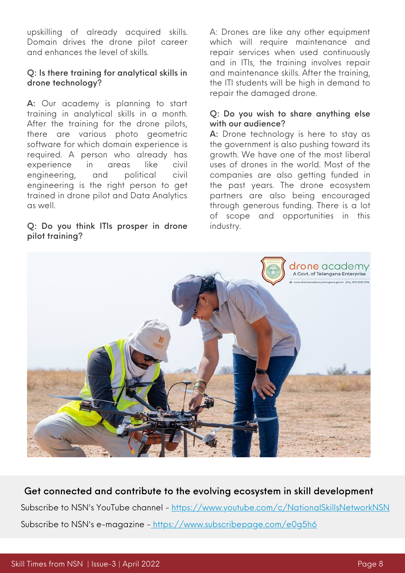upskilling of already acquired skills. Domain drives the drone pilot career and enhances the level of skills.

#### Q: Is there training for analytical skills in drone technology?

A: Our academy is planning to start training in analytical skills in a month. After the training for the drone pilots, there are various photo geometric software for which domain experience is required. A person who already has experience in areas like civil engineering, and political civil engineering is the right person to get trained in drone pilot and Data Analytics as well.

#### Q: Do you think ITIs prosper in drone pilot training?

A: Drones are like any other equipment which will require maintenance and repair services when used continuously and in ITIs, the training involves repair and maintenance skills. After the training, the ITI students will be high in demand to repair the damaged drone.

#### Q: Do you wish to share anything else with our audience?

A: Drone technology is here to stay as the government is also pushing toward its growth. We have one of the most liberal uses of drones in the world. Most of the companies are also getting funded in the past years. The drone ecosystem partners are also being encouraged through generous funding. There is a lot of scope and opportunities in this industry.



Get connected and contribute to the evolving ecosystem in skill development Subscribe to NSN's YouTube channel - <https://www.youtube.com/c/NationalSkillsNetworkNSN> Subscribe to NSN's e-magazine - <https://www.subscribepage.com/e0g5h6>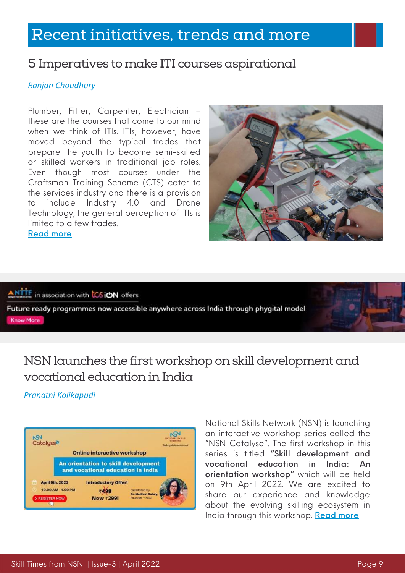# Recent initiatives, trends and more

### 5 Imperatives to make ITI courses aspirational

#### *Ranjan Choudhury*

Plumber, Fitter, Carpenter, Electrician – these are the courses that come to our mind when we think of ITIs. ITIs, however, have moved beyond the typical trades that prepare the youth to become semi-skilled or skilled workers in traditional job roles. Even though most courses under the Craftsman Training Scheme (CTS) cater to the services industry and there is a provision to include Industry 4.0 and Drone Technology, the general perception of ITIs is limited to a few trades. [Read](https://www.nationalskillsnetwork.in/5-imperatives-to-make-iti-courses-aspirational/) more



#### ANTTE in association with CSION offers

Future ready programmes now accessible anywhere across India through phygital model **Know More** 

### NSN launches the first workshop on skill development and vocational education in India

#### *Pranathi Kolikapudi*



National Skills Network (NSN) is launching an interactive workshop series called the "NSN Catalyse". The first workshop in this series is titled "Skill development and vocational education in India: An orientation workshop" which will be held on 9th April 2022. We are excited to share our experience and knowledge about the evolving skilling ecosystem in India through this workshop. [Read](https://www.nationalskillsnetwork.in/skill-development-and-vocational-education-in-india-an-orientation-workshop/) more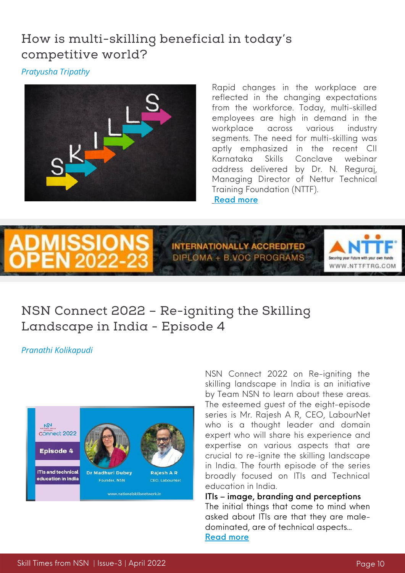### How is multi-skilling beneficial in today's competitive world?

*Pratyusha Tripathy*



Rapid changes in the workplace are reflected in the changing expectations from the workforce. Today, multi-skilled employees are high in demand in the workplace across various industry segments. The need for multi-skilling was aptly emphasized in the recent CII Karnataka Skills Conclave webinar address delivered by Dr. N. Reguraj, Managing Director of Nettur Technical [T](https://www.nationalskillsnetwork.in/how-is-multi-skilling-beneficial-in-todays-competitive-world/)raining Foundation (NTTF). [Read](https://www.nationalskillsnetwork.in/how-is-multi-skilling-beneficial-in-todays-competitive-world/) more



**INTERNATIONALLY ACCREDITED** DIPLOMA + B.VOC PROGRAMS



### NSN Connect 2022 – Re-igniting the Skilling Landscape in India - Episode 4

*Pranathi Kolikapudi*



NSN Connect 2022 on Re-igniting the skilling landscape in India is an initiative by Team NSN to learn about these areas. The esteemed guest of the eight-episode series is Mr. Rajesh A R, CEO, LabourNet who is a thought leader and domain expert who will share his experience and expertise on various aspects that are crucial to re-ignite the skilling landscape in India. The fourth episode of the series broadly focused on ITIs and Technical education in India.

ITIs – image, branding and perceptions The initial things that come to mind when asked about ITIs are that they are maledominated, are of technical aspects... [Read](https://www.nationalskillsnetwork.in/nsn-connect-2022-re-igniting-the-skilling-landscape-in-india-episode-4/) more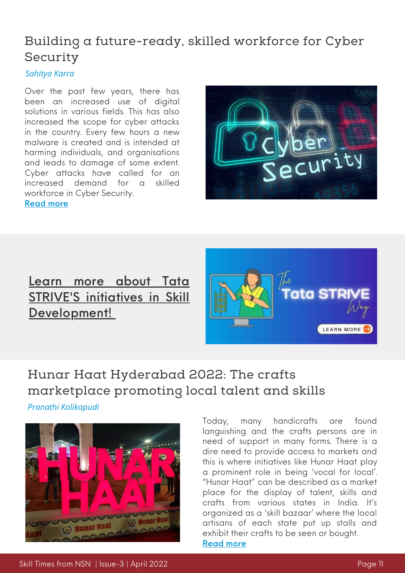### Building a future-ready, skilled workforce for Cyber Security

#### *Sahitya Karra*

Over the past few years, there has been an increased use of digital solutions in various fields. This has also increased the scope for cyber attacks in the country. Every few hours a new malware is created and is intended at harming individuals, and organisations and leads to damage of some extent. Cyber attacks have called for an increased demand for a skilled workforce in Cyber Security.



#### [Read](https://www.nationalskillsnetwork.in/building-a-future-ready-skilled-workforce-for-cyber-security/) more

### Learn more about Tata STRIVE'S initi[a](https://www.nationalskillsnetwork.in/tata-strive/)tives in Skill [Development!](https://www.nationalskillsnetwork.in/tata-strive/)



### Hunar Haat Hyderabad 2022: The crafts marketplace promoting local talent and skills

*Pranathi Kolikapudi*



Today, many handicrafts are found languishing and the crafts persons are in need of support in many forms. There is a dire need to provide access to markets and this is where initiatives like Hunar Haat play a prominent role in being 'vocal for local'. "Hunar Haat" can be described as a market place for the display of talent, skills and crafts from various states in India. It's organized as a 'skill bazaar' where the local artisans of each state put up stalls and exhibit their crafts to be seen or bought. [Read](https://www.nationalskillsnetwork.in/hunar-haat-hyderabad-2022-the-crafts-marketplace-promoting-local-talent-and-skills/) more